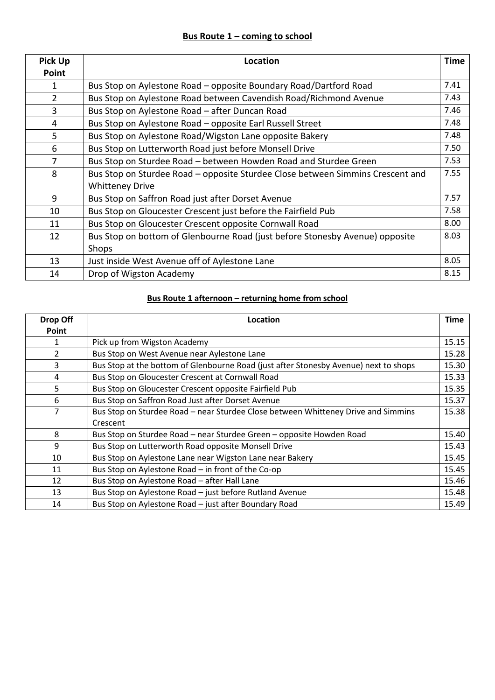## **Bus Route 1 – coming to school**

| <b>Pick Up</b> | <b>Location</b>                                                                | <b>Time</b> |
|----------------|--------------------------------------------------------------------------------|-------------|
| Point          |                                                                                |             |
| 1              | Bus Stop on Aylestone Road – opposite Boundary Road/Dartford Road              | 7.41        |
| $\overline{2}$ | Bus Stop on Aylestone Road between Cavendish Road/Richmond Avenue              | 7.43        |
| 3              | Bus Stop on Aylestone Road - after Duncan Road                                 | 7.46        |
| 4              | Bus Stop on Aylestone Road – opposite Earl Russell Street                      | 7.48        |
| 5              | Bus Stop on Aylestone Road/Wigston Lane opposite Bakery                        | 7.48        |
| 6              | Bus Stop on Lutterworth Road just before Monsell Drive                         | 7.50        |
| 7              | Bus Stop on Sturdee Road - between Howden Road and Sturdee Green               | 7.53        |
| 8              | Bus Stop on Sturdee Road - opposite Sturdee Close between Simmins Crescent and | 7.55        |
|                | <b>Whitteney Drive</b>                                                         |             |
| 9              | Bus Stop on Saffron Road just after Dorset Avenue                              | 7.57        |
| 10             | Bus Stop on Gloucester Crescent just before the Fairfield Pub                  | 7.58        |
| 11             | Bus Stop on Gloucester Crescent opposite Cornwall Road                         | 8.00        |
| 12             | Bus Stop on bottom of Glenbourne Road (just before Stonesby Avenue) opposite   | 8.03        |
|                | Shops                                                                          |             |
| 13             | Just inside West Avenue off of Aylestone Lane                                  | 8.05        |
| 14             | Drop of Wigston Academy                                                        | 8.15        |

## **Bus Route 1 afternoon – returning home from school**

| Drop Off | Location                                                                             | <b>Time</b> |
|----------|--------------------------------------------------------------------------------------|-------------|
| Point    |                                                                                      |             |
|          | Pick up from Wigston Academy                                                         | 15.15       |
| 2        | Bus Stop on West Avenue near Aylestone Lane                                          | 15.28       |
| 3        | Bus Stop at the bottom of Glenbourne Road (just after Stonesby Avenue) next to shops | 15.30       |
| 4        | Bus Stop on Gloucester Crescent at Cornwall Road                                     | 15.33       |
| 5        | Bus Stop on Gloucester Crescent opposite Fairfield Pub                               | 15.35       |
| 6        | Bus Stop on Saffron Road Just after Dorset Avenue                                    | 15.37       |
| 7        | Bus Stop on Sturdee Road - near Sturdee Close between Whitteney Drive and Simmins    | 15.38       |
|          | Crescent                                                                             |             |
| 8        | Bus Stop on Sturdee Road - near Sturdee Green - opposite Howden Road                 | 15.40       |
| 9        | Bus Stop on Lutterworth Road opposite Monsell Drive                                  | 15.43       |
| 10       | Bus Stop on Aylestone Lane near Wigston Lane near Bakery                             | 15.45       |
| 11       | Bus Stop on Aylestone Road - in front of the Co-op                                   | 15.45       |
| 12       | Bus Stop on Aylestone Road - after Hall Lane                                         | 15.46       |
| 13       | Bus Stop on Aylestone Road - just before Rutland Avenue                              | 15.48       |
| 14       | Bus Stop on Aylestone Road - just after Boundary Road                                | 15.49       |